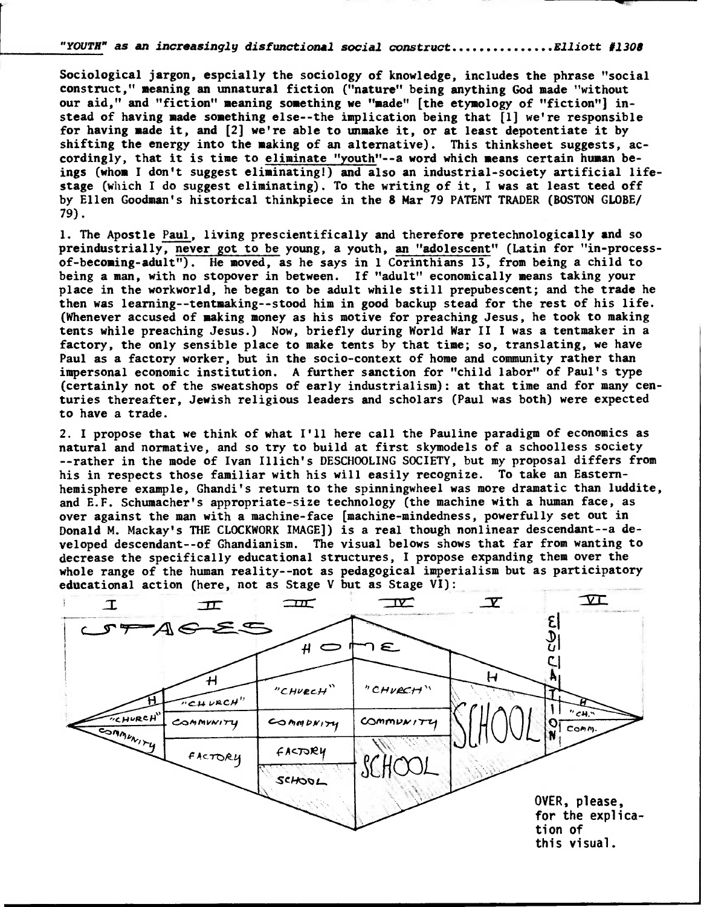"YOUTH" as **an increasingly disfunctional soc**ial construct...............Elliott #1308

**Sociological jargon, espcially the sociology of knowledge, includes the phrase "social construct," meaning an unnatural fiction ("nature" being anything God made "without our aid," and "fiction" meaning something we "made" [the etymology of "fiction") instead of having made something else--the implication being that [1] we're responsible for having made it, and [2] we're able to unmake it, or at least depotentiate it by shifting the energy into the making of an alternative). This thinksheet suggests, accordingly, that it is time to eliminate "youth"--a word which means certain human beings (whom I don't suggest eliminating!) and also an industrial-society artificial lifestage (which I do suggest eliminating). To the writing of it, I was at least teed off by Ellen Goodman's historical thinkpiece in the 8 Mar 79 PATENT TRADER (BOSTON GLOBE/ 79).** 

**1. The Apostle Paul, living prescientifically and therefore pretechnologically and so preindustrially, never got to be young, a youth, an "adolescent" (Latin for "in-processof-becoming-adult"). He moved, as he says in 1 Corinthians 13, from being a child to being a man, with no stopover in between. If "adult" economically means taking your place in the workworld, he began to be adult while still prepubescent; and the trade he then was learning--tentmaking--stood him in good backup stead for the rest of his life. (Whenever accused of making money as his motive for preaching Jesus, he took to making tents while preaching Jesus.) Now, briefly during World War II I was a tentmaker in a factory, the only sensible place to make tents by that time; so, translating, we have Paul as a factory worker, but in the socio-context of home and community rather than impersonal economic institution. A further sanction for "child labor" of Paul's type (certainly not of the sweatshops of early industrialism): at that time and for many centuries thereafter, Jewish religious leaders and scholars (Paul was both) were expected to have a trade.** 

**2. I propose that we think of what I'll here call the Pauline paradigm of economics as natural and normative, and so try to build at first skymodels of a schoolless society --rather in the mode of Ivan Illich's DESCHOOLING SOCIETY, but my proposal differs from his in respects those familiar with his will easily recognize. To take an Easternhemisphere example, Ghandi's return to the spinningwheel was more dramatic than luddite, and E.F. Schumacher's appropriate-size technology (the machine with a human face, as over against the man with a machine-face [machine-mindedness, powerfully set out in Donald M. Mackay's THE CLOCKWORK IMAGE]) is a real though nonlinear descendant--a developed descendant--of Ghandianism. The visual belows shows that far from wanting to decrease the specifically educational structures, I propose expanding them over the whole range of the human reality--not as pedagogical imperialism but as participatory educational action (here, not as Stage V but as Stage VI):**